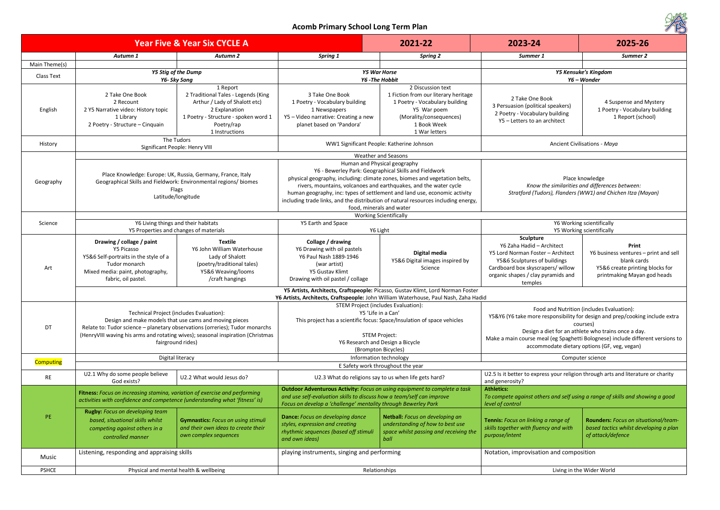| ACOTTIN FITTINGLY SCHOOL LONG TELLILL ROLL<br><b>COND</b> |                                                                                                                                                                                                                                                                                               |                                                                                                                                                                           |                                                                                                                                                                                                                                                                                                                                                                      |                                                                                                                                                                                                                                                                                                                                                                                                             |                                                                                                                                                                                                                                                                                                                                |                                                                                                                                 |  |
|-----------------------------------------------------------|-----------------------------------------------------------------------------------------------------------------------------------------------------------------------------------------------------------------------------------------------------------------------------------------------|---------------------------------------------------------------------------------------------------------------------------------------------------------------------------|----------------------------------------------------------------------------------------------------------------------------------------------------------------------------------------------------------------------------------------------------------------------------------------------------------------------------------------------------------------------|-------------------------------------------------------------------------------------------------------------------------------------------------------------------------------------------------------------------------------------------------------------------------------------------------------------------------------------------------------------------------------------------------------------|--------------------------------------------------------------------------------------------------------------------------------------------------------------------------------------------------------------------------------------------------------------------------------------------------------------------------------|---------------------------------------------------------------------------------------------------------------------------------|--|
| <b>Year Five &amp; Year Six CYCLE A</b>                   |                                                                                                                                                                                                                                                                                               |                                                                                                                                                                           |                                                                                                                                                                                                                                                                                                                                                                      | 2021-22                                                                                                                                                                                                                                                                                                                                                                                                     | 2023-24                                                                                                                                                                                                                                                                                                                        | 2025-26                                                                                                                         |  |
|                                                           | Autumn 1                                                                                                                                                                                                                                                                                      | Autumn 2                                                                                                                                                                  | <b>Spring 1</b>                                                                                                                                                                                                                                                                                                                                                      | <b>Spring 2</b>                                                                                                                                                                                                                                                                                                                                                                                             | Summer 1                                                                                                                                                                                                                                                                                                                       | Summer 2                                                                                                                        |  |
| Main Theme(s)                                             |                                                                                                                                                                                                                                                                                               |                                                                                                                                                                           |                                                                                                                                                                                                                                                                                                                                                                      |                                                                                                                                                                                                                                                                                                                                                                                                             |                                                                                                                                                                                                                                                                                                                                |                                                                                                                                 |  |
| Class Text                                                | <b>Y5 Stig of the Dump</b><br>Y6- Sky Song                                                                                                                                                                                                                                                    |                                                                                                                                                                           | <b>Y5 War Horse</b><br>Y6 - The Hobbit                                                                                                                                                                                                                                                                                                                               |                                                                                                                                                                                                                                                                                                                                                                                                             | Y5 Kensuke's Kingdom<br>Y6 – Wonder                                                                                                                                                                                                                                                                                            |                                                                                                                                 |  |
| English                                                   | 2 Take One Book<br>2 Recount<br>2 Y5 Narrative video: History topic<br>1 Library<br>2 Poetry - Structure - Cinquain                                                                                                                                                                           | 1 Report<br>2 Traditional Tales - Legends (King<br>Arthur / Lady of Shalott etc)<br>2 Explanation<br>1 Poetry - Structure - spoken word 1<br>Poetry/rap<br>1 Instructions | 3 Take One Book<br>1 Poetry - Vocabulary building<br>1 Newspapers<br>Y5 - Video narrative: Creating a new<br>planet based on 'Pandora'                                                                                                                                                                                                                               | 2 Discussion text<br>1 Fiction from our literary heritage<br>1 Poetry - Vocabulary building<br>Y5 War poem<br>(Morality/consequences)<br>1 Book Week<br>1 War letters                                                                                                                                                                                                                                       | 2 Take One Book<br>3 Persuasion (political speakers)<br>2 Poetry - Vocabulary building<br>Y5 - Letters to an architect                                                                                                                                                                                                         | 4 Suspense and Mystery<br>1 Poetry - Vocabulary building<br>1 Report (school)                                                   |  |
| History                                                   |                                                                                                                                                                                                                                                                                               | The Tudors<br>Significant People: Henry VIII                                                                                                                              |                                                                                                                                                                                                                                                                                                                                                                      | WW1 Significant People: Katherine Johnson                                                                                                                                                                                                                                                                                                                                                                   | Ancient Civilisations - Maya                                                                                                                                                                                                                                                                                                   |                                                                                                                                 |  |
|                                                           |                                                                                                                                                                                                                                                                                               |                                                                                                                                                                           | Weather and Seasons                                                                                                                                                                                                                                                                                                                                                  |                                                                                                                                                                                                                                                                                                                                                                                                             |                                                                                                                                                                                                                                                                                                                                |                                                                                                                                 |  |
| Geography                                                 | Place Knowledge: Europe: UK, Russia, Germany, France, Italy<br>Geographical Skills and Fieldwork: Environmental regions/ biomes<br>Flags<br>Latitude/longitude                                                                                                                                |                                                                                                                                                                           | food, minerals and water                                                                                                                                                                                                                                                                                                                                             | Human and Physical geography<br>Y6 - Bewerley Park: Geographical Skills and Fieldwork<br>physical geography, including: climate zones, biomes and vegetation belts,<br>rivers, mountains, volcanoes and earthquakes, and the water cycle<br>human geography, inc: types of settlement and land use, economic activity<br>including trade links, and the distribution of natural resources including energy, | Place knowledge<br>Know the similarities and differences between:<br>Stratford (Tudors), Flanders (WW1) and Chichen Itza (Mayan)                                                                                                                                                                                               |                                                                                                                                 |  |
|                                                           |                                                                                                                                                                                                                                                                                               |                                                                                                                                                                           |                                                                                                                                                                                                                                                                                                                                                                      | <b>Working Scientifically</b>                                                                                                                                                                                                                                                                                                                                                                               |                                                                                                                                                                                                                                                                                                                                |                                                                                                                                 |  |
| Science                                                   |                                                                                                                                                                                                                                                                                               | Y6 Living things and their habitats<br>Y5 Properties and changes of materials                                                                                             | Y5 Earth and Space                                                                                                                                                                                                                                                                                                                                                   | Y6 Light                                                                                                                                                                                                                                                                                                                                                                                                    | Y6 Working scientifically<br>Y5 Working scientifically                                                                                                                                                                                                                                                                         |                                                                                                                                 |  |
| Art                                                       | Drawing / collage / paint<br>Y5 Picasso<br>Y5&6 Self-portraits in the style of a<br>Tudor monarch<br>Mixed media: paint, photography,<br>fabric, oil pastel.                                                                                                                                  | <b>Textile</b><br>Y6 John William Waterhouse<br>Lady of Shalott<br>(poetry/traditional tales)<br>Y5&6 Weaving/looms<br>/craft hangings                                    | Collage / drawing<br>Y6 Drawing with oil pastels<br>Y6 Paul Nash 1889-1946<br>(war artist)<br>Y5 Gustav Klimt<br>Drawing with oil pastel / collage                                                                                                                                                                                                                   | Digital media<br>Y5&6 Digital images inspired by<br>Science                                                                                                                                                                                                                                                                                                                                                 | Sculpture<br>Y6 Zaha Hadid - Architect<br>Y5 Lord Norman Foster - Architect<br>Y5&6 Sculptures of buildings<br>Cardboard box skyscrapers/ willow<br>organic shapes / clay pyramids and<br>temples                                                                                                                              | Print<br>Y6 business ventures - print and sell<br>blank cards<br>Y5&6 create printing blocks for<br>printmaking Mayan god heads |  |
|                                                           |                                                                                                                                                                                                                                                                                               |                                                                                                                                                                           |                                                                                                                                                                                                                                                                                                                                                                      | Y5 Artists, Architects, Craftspeople: Picasso, Gustav Klimt, Lord Norman Foster                                                                                                                                                                                                                                                                                                                             |                                                                                                                                                                                                                                                                                                                                |                                                                                                                                 |  |
| DT                                                        | Technical Project (includes Evaluation):<br>Design and make models that use cams and moving pieces<br>Relate to: Tudor science - planetary observations (orreries); Tudor monarchs<br>(HenryVIII waving his arms and rotating wives); seasonal inspiration (Christmas<br>fairground rides)    |                                                                                                                                                                           | Y6 Artists, Architects, Craftspeople: John William Waterhouse, Paul Nash, Zaha Hadid<br>STEM Project (includes Evaluation):<br>Y5 'Life in a Can'<br>This project has a scientific focus: Space/Insulation of space vehicles<br><b>STEM Project:</b><br>Y6 Research and Design a Bicycle<br>(Brompton Bicycles)                                                      |                                                                                                                                                                                                                                                                                                                                                                                                             | Food and Nutrition (includes Evaluation):<br>Y5&Y6 (Y6 take more responsibility for design and prep/cooking include extra<br>courses)<br>Design a diet for an athlete who trains once a day.<br>Make a main course meal (eg Spaghetti Bolognese) include different versions to<br>accommodate dietary options (GF, veg, vegan) |                                                                                                                                 |  |
|                                                           |                                                                                                                                                                                                                                                                                               |                                                                                                                                                                           |                                                                                                                                                                                                                                                                                                                                                                      |                                                                                                                                                                                                                                                                                                                                                                                                             |                                                                                                                                                                                                                                                                                                                                |                                                                                                                                 |  |
| Computing                                                 |                                                                                                                                                                                                                                                                                               | Digital literacy                                                                                                                                                          | Information technology<br>E Safety work throughout the year                                                                                                                                                                                                                                                                                                          |                                                                                                                                                                                                                                                                                                                                                                                                             | Computer science                                                                                                                                                                                                                                                                                                               |                                                                                                                                 |  |
| <b>RE</b>                                                 | U2.1 Why do some people believe<br>God exists?                                                                                                                                                                                                                                                | U2.2 What would Jesus do?                                                                                                                                                 |                                                                                                                                                                                                                                                                                                                                                                      | U2.3 What do religions say to us when life gets hard?                                                                                                                                                                                                                                                                                                                                                       | U2.5 Is it better to express your religion through arts and literature or charity<br>and generosity?                                                                                                                                                                                                                           |                                                                                                                                 |  |
| PE.                                                       | Fitness: Focus on increasing stamina, variation of exercise and performing<br>activities with confidence and competence (understanding what 'fitness' is)<br><b>Rugby:</b> Focus on developing team<br>based, situational skills whilst<br>competing against others in a<br>controlled manner | <b>Gymnastics:</b> Focus on using stimuli<br>and their own ideas to create their<br>own complex sequences                                                                 | <b>Outdoor Adventurous Activity:</b> Focus on using equipment to complete a task<br>and use self-evaluation skills to discuss how a team/self can improve<br>Focus on develop a 'challenge' mentality through Bewerley Park<br><b>Dance:</b> Focus on developing dance<br>styles, expression and creating<br>rhythmic sequences (based off stimuli<br>and own ideas) | Netball: Focus on developing an<br>understanding of how to best use<br>space whilst passing and receiving the<br>ball                                                                                                                                                                                                                                                                                       | <b>Athletics:</b><br>To compete against others and self using a range of skills and showing a good<br>level of control<br>Tennis: Focus on linking a range of<br>skills together with fluency and with<br>purpose/intent                                                                                                       | Rounders: Focus on situational/team-<br>based tactics whilst developing a plan<br>of attack/defence                             |  |
| Music                                                     | Listening, responding and appraising skills                                                                                                                                                                                                                                                   |                                                                                                                                                                           | playing instruments, singing and performing                                                                                                                                                                                                                                                                                                                          |                                                                                                                                                                                                                                                                                                                                                                                                             | Notation, improvisation and composition                                                                                                                                                                                                                                                                                        |                                                                                                                                 |  |
| <b>PSHCE</b>                                              |                                                                                                                                                                                                                                                                                               | Physical and mental health & wellbeing                                                                                                                                    |                                                                                                                                                                                                                                                                                                                                                                      | Relationships                                                                                                                                                                                                                                                                                                                                                                                               |                                                                                                                                                                                                                                                                                                                                | Living in the Wider World                                                                                                       |  |
|                                                           |                                                                                                                                                                                                                                                                                               |                                                                                                                                                                           |                                                                                                                                                                                                                                                                                                                                                                      |                                                                                                                                                                                                                                                                                                                                                                                                             |                                                                                                                                                                                                                                                                                                                                |                                                                                                                                 |  |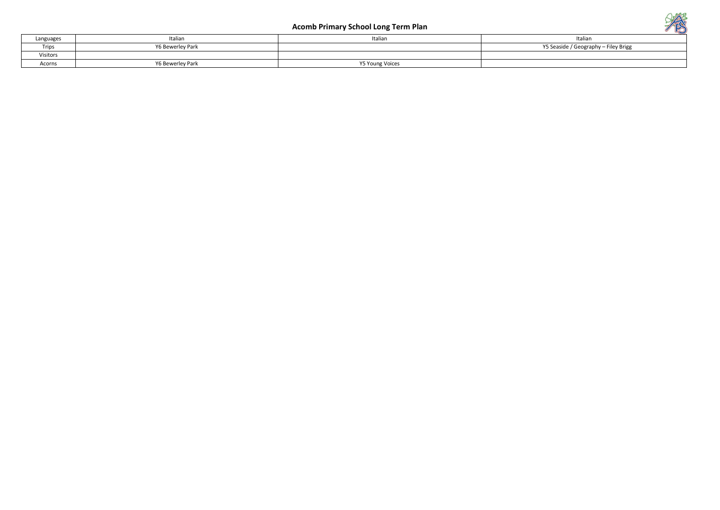| Languages | 'talian          | Italian         | Italiar                              |
|-----------|------------------|-----------------|--------------------------------------|
| Trips     | Y6 Bewerley Park |                 | Y5 Seaside / Geography - Filey Brigg |
| Visitors  |                  |                 |                                      |
| Acorns    | Y6 Bewerley Park | Y5 Young Voices |                                      |

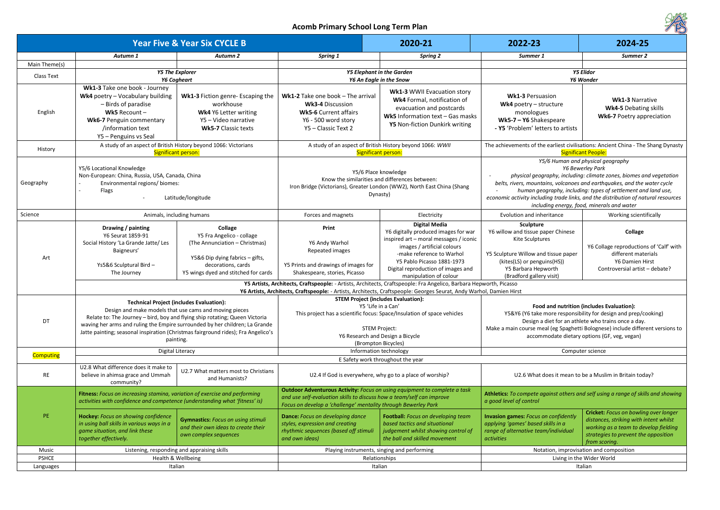| 2022-23                                                                                                               | 2024-25                                                                                                                                         |  |  |  |  |
|-----------------------------------------------------------------------------------------------------------------------|-------------------------------------------------------------------------------------------------------------------------------------------------|--|--|--|--|
| Summer 1                                                                                                              | Summer 2                                                                                                                                        |  |  |  |  |
|                                                                                                                       |                                                                                                                                                 |  |  |  |  |
|                                                                                                                       | <b>Y5 Elidor</b><br>Y6 Wonder                                                                                                                   |  |  |  |  |
|                                                                                                                       |                                                                                                                                                 |  |  |  |  |
| <b>Wk1-3 Persuasion</b>                                                                                               |                                                                                                                                                 |  |  |  |  |
| Wk4 poetry $-$ structure                                                                                              | <b>Wk1-3 Narrative</b>                                                                                                                          |  |  |  |  |
| monologues                                                                                                            | <b>Wk4-5 Debating skills</b>                                                                                                                    |  |  |  |  |
| $Wk5-7 - Y6$ Shakespeare                                                                                              | <b>Wk6-7 Poetry appreciation</b>                                                                                                                |  |  |  |  |
| - Y5 'Problem' letters to artists                                                                                     |                                                                                                                                                 |  |  |  |  |
|                                                                                                                       |                                                                                                                                                 |  |  |  |  |
|                                                                                                                       | The achievements of the earliest civilisations: Ancient China - The Shang Dynasty<br><b>Significant People:</b>                                 |  |  |  |  |
|                                                                                                                       | Y5/6 Human and physical geography                                                                                                               |  |  |  |  |
|                                                                                                                       | <b>Y6 Bewerley Park</b>                                                                                                                         |  |  |  |  |
|                                                                                                                       | physical geography, including: climate zones, biomes and vegetation<br>belts, rivers, mountains, volcanoes and earthquakes, and the water cycle |  |  |  |  |
|                                                                                                                       | human geography, including: types of settlement and land use,                                                                                   |  |  |  |  |
|                                                                                                                       | economic activity including trade links, and the distribution of natural resources                                                              |  |  |  |  |
|                                                                                                                       | including energy, food, minerals and water                                                                                                      |  |  |  |  |
| Evolution and inheritance                                                                                             | Working scientifically                                                                                                                          |  |  |  |  |
| <b>Sculpture</b>                                                                                                      |                                                                                                                                                 |  |  |  |  |
| Y6 willow and tissue paper Chinese                                                                                    | <b>Collage</b>                                                                                                                                  |  |  |  |  |
| Kite Sculptures                                                                                                       | Y6 Collage reproductions of 'Calf' with                                                                                                         |  |  |  |  |
| Y5 Sculpture Willow and tissue paper                                                                                  | different materials                                                                                                                             |  |  |  |  |
| (kites(LS) or penguins(HS))                                                                                           | Y6 Damien Hirst                                                                                                                                 |  |  |  |  |
| Y5 Barbara Hepworth                                                                                                   | Controversial artist - debate?                                                                                                                  |  |  |  |  |
| (Bradford gallery visit)                                                                                              |                                                                                                                                                 |  |  |  |  |
| vorth, Picasso<br>I, Damien Hirst                                                                                     |                                                                                                                                                 |  |  |  |  |
|                                                                                                                       |                                                                                                                                                 |  |  |  |  |
|                                                                                                                       | Food and nutrition (includes Evaluation):                                                                                                       |  |  |  |  |
|                                                                                                                       | Y5&Y6 (Y6 take more responsibility for design and prep/cooking)                                                                                 |  |  |  |  |
|                                                                                                                       | Design a diet for an athlete who trains once a day.                                                                                             |  |  |  |  |
|                                                                                                                       | Make a main course meal (eg Spaghetti Bolognese) include different versions to                                                                  |  |  |  |  |
| accommodate dietary options (GF, veg, vegan)                                                                          |                                                                                                                                                 |  |  |  |  |
| Computer science                                                                                                      |                                                                                                                                                 |  |  |  |  |
|                                                                                                                       |                                                                                                                                                 |  |  |  |  |
|                                                                                                                       | U2.6 What does it mean to be a Muslim in Britain today?                                                                                         |  |  |  |  |
|                                                                                                                       |                                                                                                                                                 |  |  |  |  |
|                                                                                                                       | Athletics: To compete against others and self using a range of skills and showing                                                               |  |  |  |  |
| a good level of control                                                                                               |                                                                                                                                                 |  |  |  |  |
| <b>Invasion games: Focus on confidently</b>                                                                           | <b>Cricket:</b> Focus on bowling over longer                                                                                                    |  |  |  |  |
| applying 'games' based skills in a                                                                                    | distances, striking with intent whilst                                                                                                          |  |  |  |  |
| working as a team to develop fielding<br>range of alternative team/individual<br>strategies to prevent the opposition |                                                                                                                                                 |  |  |  |  |
| activities                                                                                                            | from scoring.                                                                                                                                   |  |  |  |  |
|                                                                                                                       | Notation, improvisation and composition                                                                                                         |  |  |  |  |
| Living in the Wider World                                                                                             |                                                                                                                                                 |  |  |  |  |
|                                                                                                                       | Italian                                                                                                                                         |  |  |  |  |
|                                                                                                                       |                                                                                                                                                 |  |  |  |  |

|                  |                                                                                                                                                                                                                                                                                                                                                                           | <b>Year Five &amp; Year Six CYCLE B</b>                                                                                         |                                                                                                                                                                                                                         | 2020-21                                                                                                                                                                                                                                | 2022-23                                                                                                                                                                                                                                                                                                                                                                              | 2024-25                                                                                                                                                          |  |
|------------------|---------------------------------------------------------------------------------------------------------------------------------------------------------------------------------------------------------------------------------------------------------------------------------------------------------------------------------------------------------------------------|---------------------------------------------------------------------------------------------------------------------------------|-------------------------------------------------------------------------------------------------------------------------------------------------------------------------------------------------------------------------|----------------------------------------------------------------------------------------------------------------------------------------------------------------------------------------------------------------------------------------|--------------------------------------------------------------------------------------------------------------------------------------------------------------------------------------------------------------------------------------------------------------------------------------------------------------------------------------------------------------------------------------|------------------------------------------------------------------------------------------------------------------------------------------------------------------|--|
|                  | Autumn 1                                                                                                                                                                                                                                                                                                                                                                  | <b>Autumn 2</b>                                                                                                                 | Spring 1                                                                                                                                                                                                                | <b>Spring 2</b>                                                                                                                                                                                                                        | Summer 1                                                                                                                                                                                                                                                                                                                                                                             | Summer 2                                                                                                                                                         |  |
| Main Theme(s)    |                                                                                                                                                                                                                                                                                                                                                                           |                                                                                                                                 |                                                                                                                                                                                                                         |                                                                                                                                                                                                                                        |                                                                                                                                                                                                                                                                                                                                                                                      |                                                                                                                                                                  |  |
| Class Text       |                                                                                                                                                                                                                                                                                                                                                                           | <b>Y5 The Explorer</b>                                                                                                          |                                                                                                                                                                                                                         | <b>Y5 Elephant in the Garden</b>                                                                                                                                                                                                       |                                                                                                                                                                                                                                                                                                                                                                                      | <b>Y5 Elidor</b>                                                                                                                                                 |  |
|                  | <b>Y6 Cogheart</b>                                                                                                                                                                                                                                                                                                                                                        |                                                                                                                                 |                                                                                                                                                                                                                         | Y6 An Eagle in the Snow                                                                                                                                                                                                                |                                                                                                                                                                                                                                                                                                                                                                                      | Y6 Wonder                                                                                                                                                        |  |
| English          | Wk1-3 Take one book - Journey<br>Wk4 poetry - Vocabulary building<br>- Birds of paradise<br>Wk5 Recount $-$<br><b>Wk6-7 Penguin commentary</b><br>/information text<br>Y5 - Penguins vs Seal                                                                                                                                                                              | Wk1-3 Fiction genre- Escaping the<br>workhouse<br>Wk4 Y6 Letter writing<br>Y5 - Video narrative<br><b>Wk5-7</b> Classic texts   | <b>Wk1-2</b> Take one book – The arrival<br><b>Wk3-4 Discussion</b><br><b>Wk5-6 Current affairs</b><br>Y6 - 500 word story<br>Y5 - Classic Text 2                                                                       | <b>Wk1-3 WWII Evacuation story</b><br>Wk4 Formal, notification of<br>evacuation and postcards<br>Wk5 Information text - Gas masks<br>Y5 Non-fiction Dunkirk writing                                                                    | <b>Wk1-3 Persuasion</b><br>Wk4 poetry $-$ structure<br>monologues<br>Wk5-7 - Y6 Shakespeare<br>- Y5 'Problem' letters to artists                                                                                                                                                                                                                                                     | <b>Wk1-3 Narrative</b><br><b>Wk4-5 Debating skill</b><br><b>Wk6-7 Poetry apprecial</b>                                                                           |  |
| History          |                                                                                                                                                                                                                                                                                                                                                                           | A study of an aspect of British History beyond 1066: Victorians<br>Significant person:                                          |                                                                                                                                                                                                                         | A study of an aspect of British History beyond 1066: WWII<br>Significant person:                                                                                                                                                       | The achievements of the earliest civilisations: Ancient China - The Shang<br><b>Significant People:</b>                                                                                                                                                                                                                                                                              |                                                                                                                                                                  |  |
| Geography        | Y5/6 Locational Knowledge<br>Non-European: China, Russia, USA, Canada, China<br>Environmental regions/ biomes:<br>Flags<br>Latitude/longitude                                                                                                                                                                                                                             |                                                                                                                                 | Y5/6 Place knowledge<br>Know the similarities and differences between:<br>Iron Bridge (Victorians), Greater London (WW2), North East China (Shang<br>Dynasty)                                                           |                                                                                                                                                                                                                                        | Y5/6 Human and physical geography<br>Y6 Bewerley Park<br>physical geography, including: climate zones, biomes and veg<br>belts, rivers, mountains, volcanoes and earthquakes, and the water<br>human geography, including: types of settlement and land<br>economic activity including trade links, and the distribution of natural re<br>including energy, food, minerals and water |                                                                                                                                                                  |  |
| Science          |                                                                                                                                                                                                                                                                                                                                                                           | Animals, including humans                                                                                                       | Forces and magnets                                                                                                                                                                                                      | Electricity                                                                                                                                                                                                                            | Evolution and inheritance                                                                                                                                                                                                                                                                                                                                                            | Working scientifically                                                                                                                                           |  |
| Art              | Drawing / painting<br>Y6 Seurat 1859-91<br>Social History 'La Grande Jatte/ Les<br>Baigneurs'<br>Ys5&6 Sculptural Bird -                                                                                                                                                                                                                                                  | Collage<br>Y5 Fra Angelico - collage<br>(The Annunciation - Christmas)<br>Y5&6 Dip dying fabrics - gifts,<br>decorations, cards | Print<br>Y6 Andy Warhol<br>Repeated images<br>Y5 Prints and drawings of images for                                                                                                                                      | <b>Digital Media</b><br>Y6 digitally produced images for war<br>inspired art - moral messages / iconic<br>images / artificial colours<br>-make reference to Warhol<br>Y5 Pablo Picasso 1881-1973<br>Digital reproduction of images and | <b>Sculpture</b><br>Y6 willow and tissue paper Chinese<br>Kite Sculptures<br>Y5 Sculpture Willow and tissue paper<br>(kites(LS) or penguins(HS))<br>Y5 Barbara Hepworth                                                                                                                                                                                                              | Collage<br>Y6 Collage reproductions of 'C<br>different materials<br>Y6 Damien Hirst<br>Controversial artist - deba                                               |  |
|                  | The Journey                                                                                                                                                                                                                                                                                                                                                               | Y5 wings dyed and stitched for cards                                                                                            | Shakespeare, stories, Picasso<br>Y5 Artists, Architects, Craftspeople: - Artists, Architects, Craftspeople: Fra Angelico, Barbara Hepworth, Picasso                                                                     | manipulation of colour                                                                                                                                                                                                                 | (Bradford gallery visit)                                                                                                                                                                                                                                                                                                                                                             |                                                                                                                                                                  |  |
|                  |                                                                                                                                                                                                                                                                                                                                                                           |                                                                                                                                 | Y6 Artists, Architects, Craftspeople: - Artists, Architects, Craftspeople: Georges Seurat, Andy Warhol, Damien Hirst                                                                                                    |                                                                                                                                                                                                                                        |                                                                                                                                                                                                                                                                                                                                                                                      |                                                                                                                                                                  |  |
| DT               | <b>Technical Project (includes Evaluation):</b><br>Design and make models that use cams and moving pieces<br>Relate to: The Journey - bird, boy and flying ship rotating; Queen Victoria<br>waving her arms and ruling the Empire surrounded by her children; La Grande<br>Jatte painting; seasonal inspiration (Christmas fairground rides); Fra Angelico's<br>painting. |                                                                                                                                 | <b>STEM Project (includes Evaluation):</b><br>Y5 'Life in a Can'<br>This project has a scientific focus: Space/Insulation of space vehicles<br>STEM Project:<br>Y6 Research and Design a Bicycle<br>(Brompton Bicycles) |                                                                                                                                                                                                                                        | Food and nutrition (includes Evaluation):<br>Y5&Y6 (Y6 take more responsibility for design and prep/cooking<br>Design a diet for an athlete who trains once a day.<br>Make a main course meal (eg Spaghetti Bolognese) include different ver<br>accommodate dietary options (GF, veg, vegan)                                                                                         |                                                                                                                                                                  |  |
|                  | Digital Literacy                                                                                                                                                                                                                                                                                                                                                          |                                                                                                                                 | Information technology                                                                                                                                                                                                  |                                                                                                                                                                                                                                        | Computer science                                                                                                                                                                                                                                                                                                                                                                     |                                                                                                                                                                  |  |
| <b>Computing</b> | E Safety work throughout the year                                                                                                                                                                                                                                                                                                                                         |                                                                                                                                 |                                                                                                                                                                                                                         |                                                                                                                                                                                                                                        |                                                                                                                                                                                                                                                                                                                                                                                      |                                                                                                                                                                  |  |
| RE               | U2.8 What difference does it make to<br>believe in ahimsa grace and Ummah<br>community?                                                                                                                                                                                                                                                                                   | U2.7 What matters most to Christians<br>and Humanists?                                                                          |                                                                                                                                                                                                                         | U2.4 If God is everywhere, why go to a place of worship?                                                                                                                                                                               | U2.6 What does it mean to be a Muslim in Britain today?                                                                                                                                                                                                                                                                                                                              |                                                                                                                                                                  |  |
| PE.              | Fitness: Focus on increasing stamina, variation of exercise and performing<br>activities with confidence and competence (understanding what 'fitness' is)                                                                                                                                                                                                                 |                                                                                                                                 | Outdoor Adventurous Activity: Focus on using equipment to complete a task<br>and use self-evaluation skills to discuss how a team/self can improve<br>Focus on develop a 'challenge' mentality through Bewerley Park    |                                                                                                                                                                                                                                        | Athletics: To compete against others and self using a range of skills and<br>a good level of control                                                                                                                                                                                                                                                                                 |                                                                                                                                                                  |  |
|                  | Hockey: Focus on showing confidence<br>in using ball skills in various ways in a<br>game situation, and link these<br>together effectively.                                                                                                                                                                                                                               | <b>Gymnastics:</b> Focus on using stimuli<br>and their own ideas to create their<br>own complex sequences                       | <b>Dance:</b> Focus on developing dance<br>styles, expression and creating<br>rhythmic sequences (based off stimuli<br>and own ideas)                                                                                   | Football: Focus on developing team<br>based tactics and situational<br>judgement whilst showing control of<br>the ball and skilled movement                                                                                            | <b>Invasion games:</b> Focus on confidently<br>applying 'games' based skills in a<br>range of alternative team/individual<br><i>activities</i>                                                                                                                                                                                                                                       | <b>Cricket:</b> Focus on bowling over<br>distances, striking with intent v<br>working as a team to develop f<br>strategies to prevent the oppos<br>from scoring. |  |
| Music            |                                                                                                                                                                                                                                                                                                                                                                           | Listening, responding and appraising skills                                                                                     | Playing instruments, singing and performing                                                                                                                                                                             |                                                                                                                                                                                                                                        | Notation, improvisation and composition                                                                                                                                                                                                                                                                                                                                              |                                                                                                                                                                  |  |
| <b>PSHCE</b>     |                                                                                                                                                                                                                                                                                                                                                                           | Health & Wellbeing                                                                                                              |                                                                                                                                                                                                                         | Relationships                                                                                                                                                                                                                          |                                                                                                                                                                                                                                                                                                                                                                                      | Living in the Wider World                                                                                                                                        |  |
| Languages        |                                                                                                                                                                                                                                                                                                                                                                           | Italian                                                                                                                         |                                                                                                                                                                                                                         | Italian                                                                                                                                                                                                                                |                                                                                                                                                                                                                                                                                                                                                                                      | Italian                                                                                                                                                          |  |